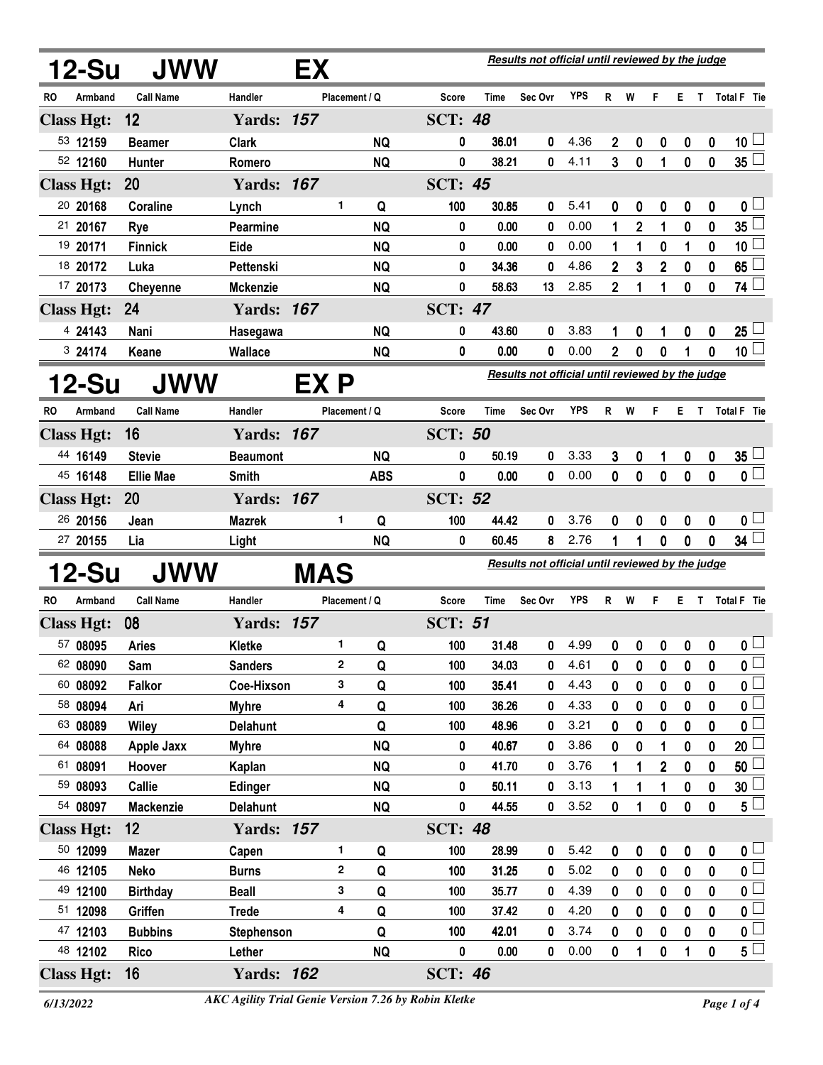|           |                   |                   |                   |            |               |            |                |       | Results not official until reviewed by the judge |            |                |                |             |          |                  |                         |  |
|-----------|-------------------|-------------------|-------------------|------------|---------------|------------|----------------|-------|--------------------------------------------------|------------|----------------|----------------|-------------|----------|------------------|-------------------------|--|
|           | 12-Su             | <b>JWW</b>        |                   | EX         |               |            |                |       |                                                  |            |                |                |             |          |                  |                         |  |
| RO        | Armband           | <b>Call Name</b>  | Handler           |            | Placement / Q |            | Score          | Time  | Sec Ovr                                          | <b>YPS</b> | R              | W              | F           | Е        | $\mathbf{T}$     | Total F Tie             |  |
|           | <b>Class Hgt:</b> | 12                | <b>Yards: 157</b> |            |               |            | <b>SCT: 48</b> |       |                                                  |            |                |                |             |          |                  |                         |  |
|           | 53 12159          | <b>Beamer</b>     | <b>Clark</b>      |            |               | NQ         | 0              | 36.01 | 0                                                | 4.36       | 2              | 0              | 0           | 0        | 0                | 10 <sup>1</sup>         |  |
|           | 52 12160          | Hunter            | Romero            |            |               | <b>NQ</b>  | 0              | 38.21 | 0                                                | 4.11       | 3              | $\bf{0}$       | 1           | 0        | $\mathbf 0$      | $35\Box$                |  |
|           | <b>Class Hgt:</b> | 20                | <b>Yards: 167</b> |            |               |            | <b>SCT: 45</b> |       |                                                  |            |                |                |             |          |                  |                         |  |
|           | 20 20168          | Coraline          | Lynch             |            | 1             | Q          | 100            | 30.85 | 0                                                | 5.41       | 0              | 0              | 0           | 0        | 0                | 0 l                     |  |
|           | 21 20167          | <b>Rye</b>        | <b>Pearmine</b>   |            |               | <b>NQ</b>  | 0              | 0.00  | 0                                                | 0.00       | 1              | $\overline{2}$ | 1           | 0        | 0                | 35 <sup>1</sup>         |  |
|           | 19 20171          | <b>Finnick</b>    | Eide              |            |               | <b>NQ</b>  | 0              | 0.00  | 0                                                | 0.00       | 1              | 1              | 0           | 1        | $\mathbf 0$      | 10                      |  |
|           | 18 20172          | Luka              | Pettenski         |            |               | <b>NQ</b>  | 0              | 34.36 | 0                                                | 4.86       | $\overline{2}$ | 3              | $\mathbf 2$ | 0        | $\mathbf 0$      | $65^{\frac{1}{2}}$      |  |
|           | 17 20173          | <b>Cheyenne</b>   | <b>Mckenzie</b>   |            |               | <b>NQ</b>  | 0              | 58.63 | 13                                               | 2.85       | $\overline{2}$ |                | 1           | 0        | $\mathbf 0$      | $74$ $-$                |  |
|           | <b>Class Hgt:</b> | 24                | <b>Yards: 167</b> |            |               |            | <b>SCT: 47</b> |       |                                                  |            |                |                |             |          |                  |                         |  |
|           | 4 24143           | Nani              | Hasegawa          |            |               | <b>NQ</b>  | 0              | 43.60 | 0                                                | 3.83       | 1              | 0              |             | 0        | 0                | 25 <sup>1</sup>         |  |
|           | 3 24174           | Keane             | <b>Wallace</b>    |            |               | <b>NQ</b>  | 0              | 0.00  | 0                                                | 0.00       | $\overline{2}$ | $\mathbf 0$    | 0           | 1        | $\mathbf 0$      | 10 <sup>L</sup>         |  |
|           | 12-Su             | <b>JWW</b>        |                   | EX P       |               |            |                |       | Results not official until reviewed by the judge |            |                |                |             |          |                  |                         |  |
|           |                   |                   |                   |            |               |            |                |       |                                                  |            |                |                |             |          |                  |                         |  |
| RO        | <b>Armband</b>    | <b>Call Name</b>  | Handler           |            | Placement / Q |            | Score          | Time  | Sec Ovr                                          | <b>YPS</b> | R              | W              | F           | Е        | T.               | Total F Tie             |  |
|           | <b>Class Hgt:</b> | 16                | <b>Yards: 167</b> |            |               |            | <b>SCT: 50</b> |       |                                                  |            |                |                |             |          |                  |                         |  |
|           | 44 16149          | <b>Stevie</b>     | <b>Beaumont</b>   |            |               | <b>NQ</b>  | 0              | 50.19 | 0                                                | 3.33       | 3              | 0              |             | 0        | 0                | 35 <sup>1</sup>         |  |
|           | 45 16148          | <b>Ellie Mae</b>  | <b>Smith</b>      |            |               | <b>ABS</b> | 0              | 0.00  | 0                                                | 0.00       | 0              | $\bf{0}$       | 0           | $\bf{0}$ | $\mathbf 0$      | $\overline{0}$          |  |
|           | <b>Class Hgt:</b> | <b>20</b>         | <b>Yards: 167</b> |            |               |            | <b>SCT: 52</b> |       |                                                  |            |                |                |             |          |                  |                         |  |
|           | 26 20156          | Jean              | <b>Mazrek</b>     |            | 1             | Q          | 100            | 44.42 | 0                                                | 3.76       | 0              | 0              | 0           | 0        | $\bf{0}$         | 0 L                     |  |
|           | 27 20155          | Lia               | Light             |            |               | <b>NQ</b>  | 0              | 60.45 | 8                                                | 2.76       | 1              |                | 0           | 0        | 0                | $34 \Box$               |  |
|           | 12-Su             | JWW               |                   | <b>MAS</b> |               |            |                |       | Results not official until reviewed by the judge |            |                |                |             |          |                  |                         |  |
| <b>RO</b> | Armband           | <b>Call Name</b>  | Handler           |            | Placement / Q |            | Score          | Time  | Sec Ovr                                          | <b>YPS</b> | R              | W              | F.          | E.       | T                | <b>Total F</b> Tie      |  |
|           | <b>Class Hgt:</b> | 08                | <b>Yards: 157</b> |            |               |            | <b>SCT: 51</b> |       |                                                  |            |                |                |             |          |                  |                         |  |
|           | 57 08095          | <b>Aries</b>      | <b>Kletke</b>     |            | 1             | Q          | 100            | 31.48 | 0                                                | 4.99       | 0              | 0              | 0           | 0        | 0                | $\mathbf{0}$ $\Box$     |  |
|           | 62 08090          | Sam               | <b>Sanders</b>    |            | $\mathbf 2$   | Q          | 100            | 34.03 | 0                                                | 4.61       | 0              | 0              | 0           | 0        | 0                | 0                       |  |
|           | 60 08092          | <b>Falkor</b>     | Coe-Hixson        |            | 3             | Q          | 100            | 35.41 | 0                                                | 4.43       | 0              | 0              | 0           | 0        | 0                | 0 L                     |  |
|           | 58 08094          | Ari               | <b>Myhre</b>      |            | 4             | Q          | 100            | 36.26 | 0                                                | 4.33       | 0              | $\mathbf 0$    | 0           | 0        | $\mathbf 0$      | 0                       |  |
|           | 63 08089          | <b>Wiley</b>      | <b>Delahunt</b>   |            |               | Q          | 100            | 48.96 | 0                                                | 3.21       | 0              | 0              | 0           | 0        | 0                | 0                       |  |
|           | 64 08088          | <b>Apple Jaxx</b> | <b>Myhre</b>      |            |               | <b>NQ</b>  | 0              | 40.67 | 0                                                | 3.86       | 0              | 0              | 1           | 0        | $\mathbf 0$      | 20                      |  |
|           | 61 08091          | Hoover            | Kaplan            |            |               | <b>NQ</b>  | 0              | 41.70 | 0                                                | 3.76       |                |                | $\mathbf 2$ | 0        | 0                | 50 <sup>1</sup>         |  |
|           | 59 08093          | Callie            | <b>Edinger</b>    |            |               | <b>NQ</b>  | 0              | 50.11 | 0                                                | 3.13       | 1              | 1              | 1           | 0        | $\bf{0}$         | 30                      |  |
|           | 54 08097          | <b>Mackenzie</b>  | <b>Delahunt</b>   |            |               | <b>NQ</b>  | 0              | 44.55 | 0                                                | 3.52       | 0              |                | 0           | 0        | 0                | $5^{\square}$           |  |
|           | <b>Class Hgt:</b> | 12                | <b>Yards: 157</b> |            |               |            | <b>SCT: 48</b> |       |                                                  |            |                |                |             |          |                  |                         |  |
|           | 50 12099          | <b>Mazer</b>      | Capen             |            | 1             | Q          | 100            | 28.99 | 0                                                | 5.42       | 0              | 0              | 0           | 0        | $\boldsymbol{0}$ | $\mathbf{0}$ $\Box$     |  |
|           | 46 12105          | <b>Neko</b>       | <b>Burns</b>      |            | $\mathbf 2$   | Q          | 100            | 31.25 | 0                                                | 5.02       | 0              | 0              | 0           | 0        | $\mathbf 0$      | $\overline{0}$          |  |
|           | 49 12100          | <b>Birthday</b>   | <b>Beall</b>      |            | 3             | Q          | 100            | 35.77 | 0                                                | 4.39       | 0              | $\bf{0}$       | 0           | $\bf{0}$ | 0                | $\overline{\mathbf{0}}$ |  |
|           | 51 12098          | Griffen           | <b>Trede</b>      |            | 4             | Q          | 100            | 37.42 | 0                                                | 4.20       | 0              | 0              | 0           | 0        | 0                | $\overline{0}$          |  |
|           | 47 12103          | <b>Bubbins</b>    | <b>Stephenson</b> |            |               | Q          | 100            | 42.01 | 0                                                | 3.74       | 0              | 0              | 0           | 0        | $\mathbf 0$      | 0                       |  |
|           | 48 12102          | Rico              | Lether            |            |               | <b>NQ</b>  | 0              | 0.00  | 0                                                | 0.00       | 0              |                | 0           | 1        | $\mathbf 0$      | $5^{\overline{}}$       |  |
|           | <b>Class Hgt:</b> | 16                | <b>Yards: 162</b> |            |               |            | <b>SCT: 46</b> |       |                                                  |            |                |                |             |          |                  |                         |  |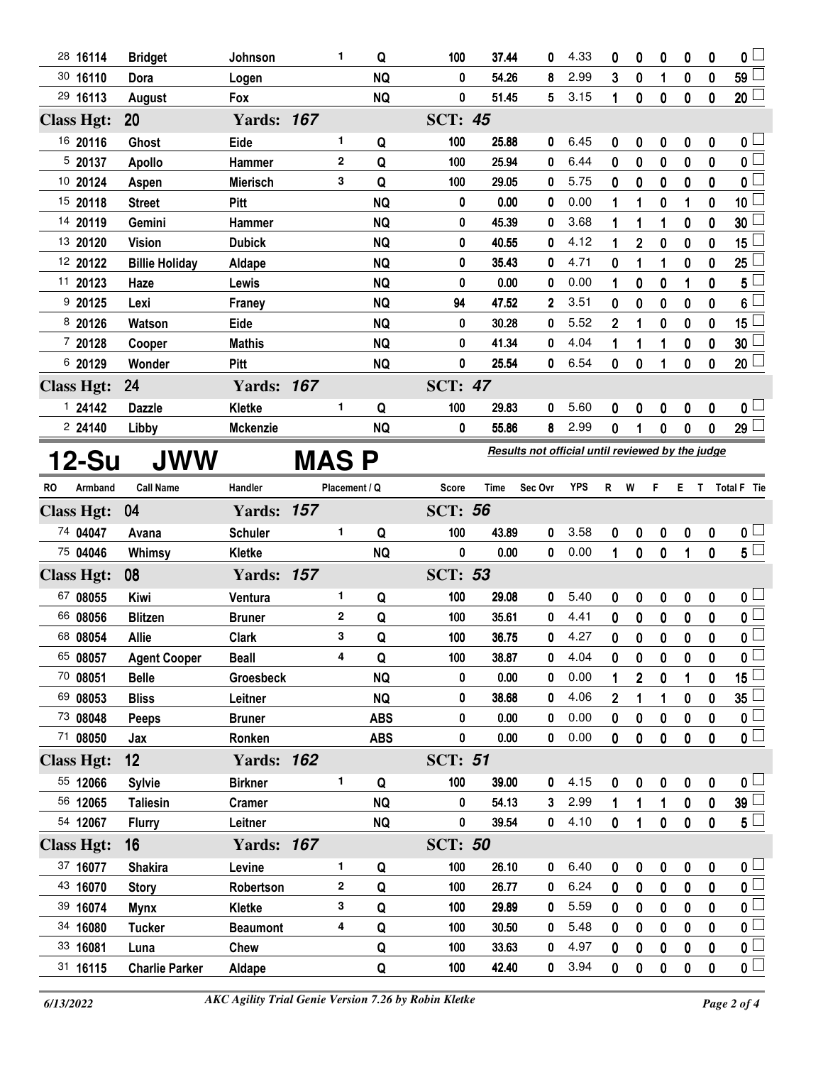| 28 16114             |          | <b>Bridget</b>               | Johnson                   |             | 1             | Q          | 100                   | 37.44          | 0                                                | 4.33       | 0      | 0           | 0           | 0                | 0            | 0                                                  |
|----------------------|----------|------------------------------|---------------------------|-------------|---------------|------------|-----------------------|----------------|--------------------------------------------------|------------|--------|-------------|-------------|------------------|--------------|----------------------------------------------------|
| 30 16110             |          | Dora                         | Logen                     |             |               | <b>NQ</b>  | 0                     | 54.26          | 8                                                | 2.99       | 3      | 0           | 1           | $\bf{0}$         | 0            | 59                                                 |
| 29 16113             |          | August                       | Fox                       |             |               | <b>NQ</b>  | 0                     | 51.45          | 5                                                | 3.15       | 1      | 0           | 0           | $\bf{0}$         | 0            | $20\perp$                                          |
| <b>Class Hgt:</b>    |          | 20                           | <b>Yards: 167</b>         |             |               |            | <b>SCT: 45</b>        |                |                                                  |            |        |             |             |                  |              |                                                    |
| 16 20116             |          | <b>Ghost</b>                 | Eide                      |             | 1             | Q          | 100                   | 25.88          | 0                                                | 6.45       | 0      | 0           | 0           | 0                | 0            | 0 <sub>0</sub>                                     |
|                      | 5 20137  | <b>Apollo</b>                | Hammer                    |             | $\mathbf{2}$  | Q          | 100                   | 25.94          | 0                                                | 6.44       | 0      | $\bf{0}$    | 0           | $\bf{0}$         | 0            | $\mathfrak{o} \sqsubset$                           |
| 10 20124             |          | Aspen                        | <b>Mierisch</b>           |             | 3             | Q          | 100                   | 29.05          | 0                                                | 5.75       | 0      | 0           | 0           | 0                | 0            | 0                                                  |
| 15 20118             |          | <b>Street</b>                | <b>Pitt</b>               |             |               | <b>NQ</b>  | 0                     | 0.00           | 0                                                | 0.00       | 1      | 1           | 0           | 1                | 0            | 10 <sub>1</sub>                                    |
| 14 20119             |          | Gemini                       | Hammer                    |             |               | <b>NQ</b>  | 0                     | 45.39          | 0                                                | 3.68       | 1      | 1           | 1           | 0                | 0            | 30                                                 |
| 13 20120             |          | <b>Vision</b>                | <b>Dubick</b>             |             |               | <b>NQ</b>  | 0                     | 40.55          | 0                                                | 4.12       | 1      | $\mathbf 2$ | 0           | $\bf{0}$         | 0            | 15                                                 |
| 12 20122             |          | <b>Billie Holiday</b>        | Aldape                    |             |               | <b>NQ</b>  | 0                     | 35.43          | 0                                                | 4.71       | 0      | 1           | 1           | 0                | 0            | 25                                                 |
| 11 20123             |          | Haze                         | Lewis                     |             |               | <b>NQ</b>  | 0                     | 0.00           | 0                                                | 0.00       | 1      | 0           | 0           |                  | 0            | 5                                                  |
|                      | 9 20125  | Lexi                         | Franey                    |             |               | <b>NQ</b>  | 94                    | 47.52          | $\mathbf{2}$                                     | 3.51       | 0      | 0           | 0           | 0                | 0            | 6                                                  |
|                      | 8 20126  | Watson                       | Eide                      |             |               | <b>NQ</b>  | 0                     | 30.28          | 0                                                | 5.52       | 2      | 1           | 0           | 0                | 0            | 15                                                 |
|                      | 7 20128  | Cooper                       | <b>Mathis</b>             |             |               | <b>NQ</b>  | 0                     | 41.34          | 0                                                | 4.04       | 1      | 1           | 1           | 0                | 0            | 30                                                 |
|                      | 6 20129  | Wonder                       | <b>Pitt</b>               |             |               | <b>NQ</b>  | 0                     | 25.54          | 0                                                | 6.54       | 0      | 0           | 1           | $\mathbf 0$      | 0            | 20 <sup>1</sup>                                    |
| <b>Class Hgt:</b>    |          | 24                           | <b>Yards: 167</b>         |             |               |            | <b>SCT: 47</b>        |                |                                                  |            |        |             |             |                  |              |                                                    |
|                      | 124142   | <b>Dazzle</b>                | <b>Kletke</b>             |             | 1             | Q          | 100                   | 29.83          | 0                                                | 5.60       | 0      | 0           | 0           | 0                | 0            | 0 <sub>0</sub>                                     |
|                      | 224140   | Libby                        | <b>Mckenzie</b>           |             |               | <b>NQ</b>  | 0                     | 55.86          | 8                                                | 2.99       | 0      | 1           | 0           | 0                | 0            | 29 <sup>1</sup>                                    |
|                      |          |                              |                           |             |               |            |                       |                | Results not official until reviewed by the judge |            |        |             |             |                  |              |                                                    |
|                      | 12-Su    | <b>JWW</b>                   |                           | <b>MASP</b> |               |            |                       |                |                                                  |            |        |             |             |                  |              |                                                    |
| RO                   | Armband  | <b>Call Name</b>             | Handler                   |             | Placement / Q |            | <b>Score</b>          | <b>Time</b>    | Sec Ovr                                          | <b>YPS</b> | R.     | W           | F           | E.               | T.           | <b>Total F</b> Tie                                 |
|                      |          |                              |                           |             |               |            |                       |                |                                                  |            |        |             |             |                  |              |                                                    |
| <b>Class Hgt:</b>    |          | 04                           | <b>Yards: 157</b>         |             |               |            | <b>SCT: 56</b>        |                |                                                  |            |        |             |             |                  |              |                                                    |
|                      | 74 04047 | Avana                        | <b>Schuler</b>            |             | 1             | Q          | 100                   | 43.89          | 0                                                | 3.58       | 0      | 0           | 0           | 0                | 0            | $\mathbf{0}$                                       |
| 75 04046             |          | Whimsy                       | Kletke                    |             |               | <b>NQ</b>  | $\mathbf 0$           | 0.00           | 0                                                | 0.00       | 1      | 0           | $\mathbf 0$ | 1                | $\mathbf{0}$ | $5^{\Box}$                                         |
| <b>Class Hgt:</b>    |          | 08                           | <b>Yards: 157</b>         |             |               |            | <b>SCT: 53</b>        |                |                                                  |            |        |             |             |                  |              |                                                    |
| 67 08055             |          | Kiwi                         | Ventura                   |             | 1             | Q          | 100                   | 29.08          | 0                                                | 5.40       | 0      | 0           | 0           | 0                | 0            | 0 <sub>1</sub>                                     |
|                      | 66 08056 | <b>Blitzen</b>               | <b>Bruner</b>             |             | $\mathbf{2}$  | Q          | 100                   | 35.61          | 0                                                | 4.41       | 0      | 0           | 0           | 0                | 0            | $\mathfrak{o} \square$                             |
| 68 08054             |          | <b>Allie</b>                 | <b>Clark</b>              |             | 3             | Q          | 100                   | 36.75          | 0                                                | 4.27       | 0      | 0           | 0           | $\mathbf 0$      | 0            | $\overline{\mathbf{0}}$                            |
| 65 08057             |          | <b>Agent Cooper</b>          | <b>Beall</b>              |             | 4             | Q          | 100                   | 38.87          | 0                                                | 4.04       | 0      | 0           | 0           | 0                | 0            | $\overline{\mathbf{0}}$                            |
| 70 08051             |          | <b>Belle</b>                 | <b>Groesbeck</b>          |             |               | <b>NQ</b>  | 0                     | 0.00           | 0                                                | 0.00       | 1      | 2           | $\pmb{0}$   |                  | 0            | $\overline{15}$                                    |
| 69 08053             |          | <b>Bliss</b>                 | Leitner                   |             |               | <b>NQ</b>  | 0                     | 38.68          | 0                                                | 4.06       | 2      | 1           | 1           | 0                | 0            | 35 <sub>5</sub>                                    |
| 73 08048             |          | Peeps                        | <b>Bruner</b>             |             |               | <b>ABS</b> | 0                     | 0.00           | 0                                                | 0.00       | 0      | 0           | 0           | 0                | 0            | $\overline{\mathbf{0}}$                            |
| 71 08050             |          | Jax                          | Ronken                    |             |               | <b>ABS</b> | 0                     | 0.00           | 0                                                | 0.00       | 0      | 0           | $\pmb{0}$   | $\pmb{0}$        | $\mathbf 0$  | $\overline{\mathbf{0}}$                            |
| <b>Class Hgt:</b>    |          | 12                           | <b>Yards: 162</b>         |             |               |            | <b>SCT: 51</b>        |                |                                                  |            |        |             |             |                  |              |                                                    |
| 55 12066             |          | <b>Sylvie</b>                | <b>Birkner</b>            |             | 1             | Q          | 100                   | 39.00          | 0                                                | 4.15       | 0      | 0           | $\pmb{0}$   | $\pmb{0}$        | 0            | 0 <sub>0</sub>                                     |
| 56 12065             |          | <b>Taliesin</b>              | <b>Cramer</b>             |             |               | <b>NQ</b>  | 0                     | 54.13          | 3                                                | 2.99       | 1      | 1           | 1           | $\pmb{0}$        | 0            |                                                    |
| 54 12067             |          | <b>Flurry</b>                | Leitner                   |             |               | <b>NQ</b>  | 0                     | 39.54          | $\mathbf 0$                                      | 4.10       | 0      | 1           | $\mathbf 0$ | $\mathbf{0}$     | 0            | 39 <sup>1</sup><br>$5^{\square}$                   |
|                      |          |                              |                           |             |               |            |                       |                |                                                  |            |        |             |             |                  |              |                                                    |
| <b>Class Hgt:</b>    |          | 16                           | <b>Yards: 167</b>         |             | 1             |            | <b>SCT: 50</b><br>100 |                | 0                                                | 6.40       |        |             |             |                  |              |                                                    |
| 37 16077             |          | <b>Shakira</b>               | Levine<br>Robertson       |             | $\mathbf 2$   | Q<br>Q     | 100                   | 26.10<br>26.77 | 0                                                | 6.24       | 0<br>0 | 0           | 0           | 0<br>$\mathbf 0$ | 0<br>0       | 0 <sub>1</sub>                                     |
| 43 16070             |          | <b>Story</b>                 |                           |             | 3             | Q          | 100                   | 29.89          | 0                                                | 5.59       | 0      | $\bf{0}$    | $\mathbf 0$ |                  |              | $\overline{\mathbf{0}}$                            |
| 39 16074<br>34 16080 |          | <b>Mynx</b><br><b>Tucker</b> | Kletke<br><b>Beaumont</b> |             | 4             | Q          | 100                   | 30.50          | 0                                                | 5.48       | 0      | 0<br>0      | 0<br>0      | 0<br>0           | 0<br>0       | 0 <sup>1</sup>                                     |
| 33 16081             |          | Luna                         | <b>Chew</b>               |             |               | Q          | 100                   | 33.63          | 0                                                | 4.97       | 0      | 0           | 0           | 0                | 0            | $\overline{\mathbf{0}}$<br>$\overline{\mathbf{0}}$ |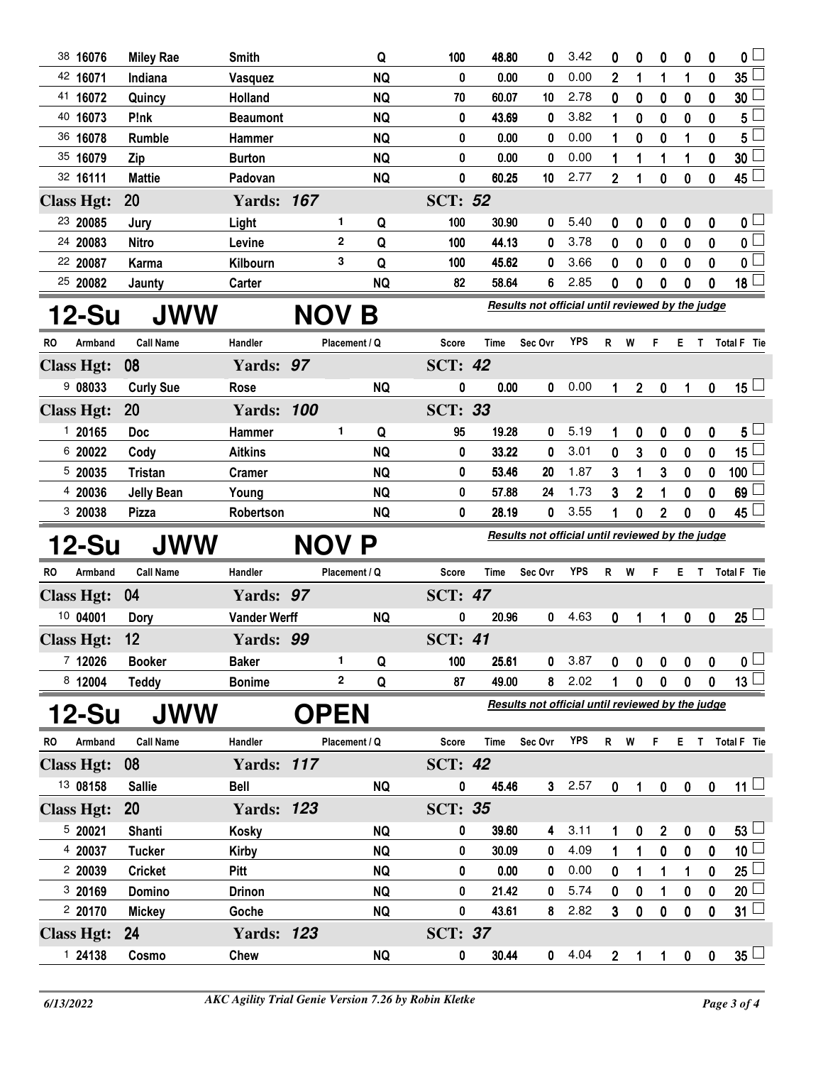| 38 16076             | <b>Miley Rae</b>  | <b>Smith</b>        |              | Q             | 100            | 48.80 | 0                                                | 3.42       | 0              | 0              | 0              | 0         | 0           | $\mathbf 0$        |
|----------------------|-------------------|---------------------|--------------|---------------|----------------|-------|--------------------------------------------------|------------|----------------|----------------|----------------|-----------|-------------|--------------------|
| 42 16071             | Indiana           | Vasquez             |              | <b>NQ</b>     | 0              | 0.00  | 0                                                | 0.00       | $\overline{2}$ | 1              | 1              | 1         | 0           | 35 <sub>5</sub>    |
| 41 16072             | Quincy            | Holland             |              | <b>NQ</b>     | 70             | 60.07 | 10                                               | 2.78       | 0              | 0              | 0              | 0         | 0           | 30                 |
| 40 16073             | P!nk              | <b>Beaumont</b>     |              | <b>NQ</b>     | 0              | 43.69 | 0                                                | 3.82       | 1              | $\bf{0}$       | $\bf{0}$       | $\bf{0}$  | 0           | 5                  |
| 36 16078             | <b>Rumble</b>     | <b>Hammer</b>       |              | <b>NQ</b>     | 0              | 0.00  | 0                                                | 0.00       | 1              | $\bf{0}$       | 0              | 1         | 0           | 5                  |
| 35 16079             | Zip               | <b>Burton</b>       |              | <b>NQ</b>     | 0              | 0.00  | 0                                                | 0.00       | 1              | 1              | 1              | 1         | 0           | 30                 |
| 32 16111             | <b>Mattie</b>     | Padovan             |              | <b>NQ</b>     | 0              | 60.25 | 10                                               | 2.77       | $\overline{2}$ | 1              | 0              | $\bf{0}$  | 0           | 45 L               |
| <b>Class Hgt:</b>    | 20                | <b>Yards: 167</b>   |              |               | <b>SCT: 52</b> |       |                                                  |            |                |                |                |           |             |                    |
| 23 20085             | Jury              | Light               | 1.           | Q             | 100            | 30.90 | 0                                                | 5.40       | 0              | 0              | 0              | 0         | 0           | 0 L                |
| 24 20083             | <b>Nitro</b>      | Levine              | $\mathbf{2}$ | Q             | 100            | 44.13 | 0                                                | 3.78       | 0              | $\bf{0}$       | 0              | 0         | 0           | $\mathbf{0}$       |
| 22 20087             | Karma             | Kilbourn            | 3            | Q             | 100            | 45.62 | 0                                                | 3.66       | 0              | 0              | 0              | 0         | 0           | 0                  |
| 25 20082             | Jaunty            | Carter              |              | <b>NQ</b>     | 82             | 58.64 | 6                                                | 2.85       | 0              | $\mathbf 0$    | 0              | 0         | 0           | 18 $\lfloor$       |
| 12-Su                | <b>JWW</b>        |                     | <b>NOV</b>   | В             |                |       | Results not official until reviewed by the judge |            |                |                |                |           |             |                    |
| <b>RO</b><br>Armband | <b>Call Name</b>  | Handler             |              | Placement / Q | <b>Score</b>   | Time  | Sec Ovr                                          | <b>YPS</b> | R              | W              | F              | ET.       |             | <b>Total F</b> Tie |
| <b>Class Hgt:</b>    | 08                | Yards: 97           |              |               | <b>SCT: 42</b> |       |                                                  |            |                |                |                |           |             |                    |
| 908033               | <b>Curly Sue</b>  | Rose                |              | <b>NQ</b>     | 0              | 0.00  | 0                                                | 0.00       | 1              | $\overline{2}$ | $\mathbf 0$    | 1         | 0           | 15 $\Box$          |
| <b>Class Hgt:</b>    | <b>20</b>         | <b>Yards: 100</b>   |              |               | <b>SCT: 33</b> |       |                                                  |            |                |                |                |           |             |                    |
| 120165               | <b>Doc</b>        | Hammer              | 1            | Q             | 95             | 19.28 | 0                                                | 5.19       | 1              | 0              | 0              | 0         | 0           | $5^{\perp}$        |
| 6 20022              | Cody              | <b>Aitkins</b>      |              | <b>NQ</b>     | 0              | 33.22 | 0                                                | 3.01       | 0              | 3              | 0              | 0         | 0           | 15 <sub>15</sub>   |
| 5 20035              | <b>Tristan</b>    | <b>Cramer</b>       |              | <b>NQ</b>     | 0              | 53.46 | 20                                               | 1.87       | 3              | 1              | 3              | $\bf{0}$  | 0           | 100                |
| 4 20036              | <b>Jelly Bean</b> | Young               |              | <b>NQ</b>     | 0              | 57.88 | 24                                               | 1.73       | 3              | 2              | 1              | 0         | 0           | 69                 |
|                      |                   |                     |              |               |                |       |                                                  |            |                |                |                |           |             |                    |
| 3 20038              | <b>Pizza</b>      | Robertson           |              | <b>NQ</b>     | 0              | 28.19 | 0                                                | 3.55       | 1              | $\bf{0}$       | $\overline{2}$ | $\bf{0}$  | 0           | 45 <sup>1</sup>    |
| 12-Su                | <b>JWW</b>        |                     | NOV P        |               |                |       | Results not official until reviewed by the judge |            |                |                |                |           |             |                    |
| Armband<br>RO        | <b>Call Name</b>  | Handler             |              | Placement / Q | Score          | Time  | Sec Ovr                                          | <b>YPS</b> | R              | W              | F              | ET.       |             | Total F Tie        |
| <b>Class Hgt:</b>    | 04                | Yards: 97           |              |               | <b>SCT: 47</b> |       |                                                  |            |                |                |                |           |             |                    |
| 10 04001             | Dory              | <b>Vander Werff</b> |              | <b>NQ</b>     | 0              | 20.96 | 0                                                | 4.63       | 0              | 1              | 1              | 0         | 0           | $25\perp$          |
| <b>Class Hgt:</b>    | 12                | Yards: 99           |              |               | <b>SCT: 41</b> |       |                                                  |            |                |                |                |           |             |                    |
| 7 12026              | <b>Booker</b>     | <b>Baker</b>        | 1            | Q             | 100            | 25.61 | 0                                                | 3.87       | 0              | 0              | 0              | 0         | 0           | 0                  |
| 8 12004              | <b>Teddy</b>      | <b>Bonime</b>       | 2            | Q             | 87             | 49.00 | 8                                                | 2.02       | 1              | 0              | $\mathbf 0$    | $\pmb{0}$ | 0           | $13 -$             |
| 12-Su                | <b>JWW</b>        |                     | <b>OPEN</b>  |               |                |       | Results not official until reviewed by the judge |            |                |                |                |           |             |                    |
| Armband<br><b>RO</b> | <b>Call Name</b>  | Handler             |              | Placement / Q | Score          | Time  | Sec Ovr                                          | <b>YPS</b> | R              | W              | F.             | E T       |             | Total F Tie        |
| <b>Class Hgt:</b>    | 08                | <b>Yards: 117</b>   |              |               | <b>SCT: 42</b> |       |                                                  |            |                |                |                |           |             |                    |
| 13 08158             | <b>Sallie</b>     | <b>Bell</b>         |              | <b>NQ</b>     | 0              | 45.46 | 3 <sup>7</sup>                                   | 2.57       | 0              | 1              | $\mathbf 0$    | $\pmb{0}$ | $\pmb{0}$   | $11 \Box$          |
| <b>Class Hgt:</b>    | <b>20</b>         | <b>Yards: 123</b>   |              |               | <b>SCT: 35</b> |       |                                                  |            |                |                |                |           |             |                    |
| 5 20021              | <b>Shanti</b>     | <b>Kosky</b>        |              | <b>NQ</b>     | 0              | 39.60 | 4                                                | 3.11       | 1              | 0              | $\mathbf{2}$   | 0         | 0           | $53 -$             |
| 4 20037              | <b>Tucker</b>     | <b>Kirby</b>        |              | <b>NQ</b>     | 0              | 30.09 | 0                                                | 4.09       | $\mathbf{1}$   | 1              | $\mathbf 0$    | $\bf{0}$  | $\mathbf 0$ | 10 <sub>1</sub>    |
| 2 20039              | <b>Cricket</b>    | Pitt                |              | <b>NQ</b>     | 0              | 0.00  | 0                                                | 0.00       | 0              | 1              | 1              | 1         | 0           | $25\,$             |
| 3 20169              | Domino            | <b>Drinon</b>       |              | <b>NQ</b>     | 0              | 21.42 | 0                                                | 5.74       | 0              | $\bf{0}$       | 1              | $\bf{0}$  | 0           | 20 <sub>2</sub>    |
| 2 20170              | <b>Mickey</b>     | Goche               |              | <b>NQ</b>     | 0              | 43.61 | 8                                                | 2.82       | 3              | $\bf{0}$       | $\bf{0}$       | $\bf{0}$  | 0           | $31 \Box$          |
| <b>Class Hgt:</b>    | 24                | <b>Yards: 123</b>   |              |               | <b>SCT: 37</b> |       |                                                  |            |                |                |                |           |             |                    |